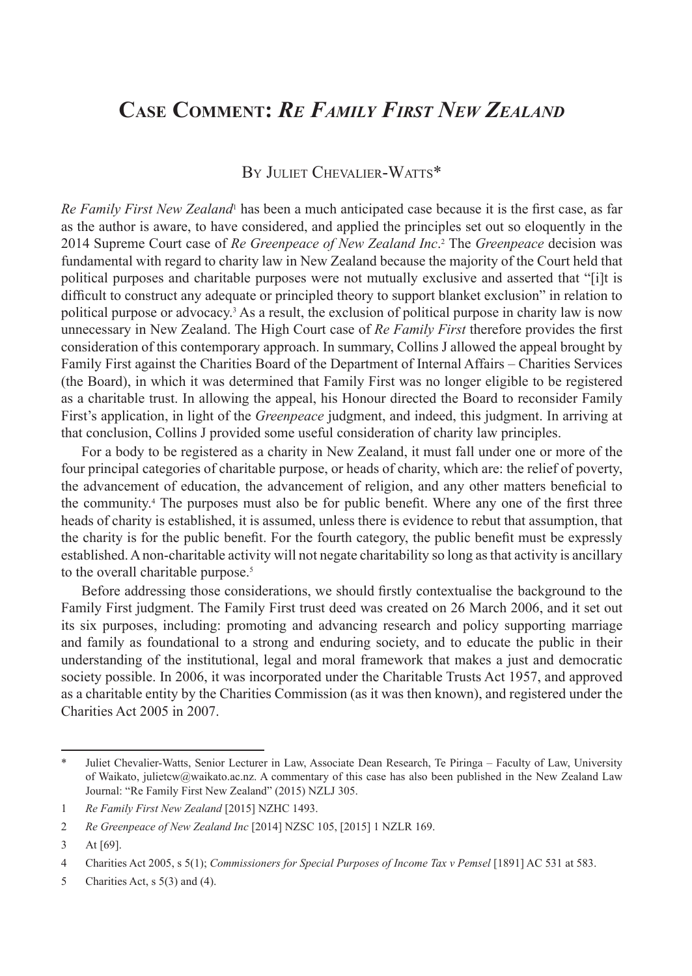# **Case Comment:** *Re Family First New Zealand*

## By Juliet Chevalier-Watts\*

Re Family First New Zealand<sup>1</sup> has been a much anticipated case because it is the first case, as far as the author is aware, to have considered, and applied the principles set out so eloquently in the 2014 Supreme Court case of *Re Greenpeace of New Zealand Inc*. 2 The *Greenpeace* decision was fundamental with regard to charity law in New Zealand because the majority of the Court held that political purposes and charitable purposes were not mutually exclusive and asserted that "[i]t is difficult to construct any adequate or principled theory to support blanket exclusion" in relation to political purpose or advocacy.<sup>3</sup> As a result, the exclusion of political purpose in charity law is now unnecessary in New Zealand. The High Court case of *Re Family First* therefore provides the first consideration of this contemporary approach. In summary, Collins J allowed the appeal brought by Family First against the Charities Board of the Department of Internal Affairs – Charities Services (the Board), in which it was determined that Family First was no longer eligible to be registered as a charitable trust. In allowing the appeal, his Honour directed the Board to reconsider Family First's application, in light of the *Greenpeace* judgment, and indeed, this judgment. In arriving at that conclusion, Collins J provided some useful consideration of charity law principles.

For a body to be registered as a charity in New Zealand, it must fall under one or more of the four principal categories of charitable purpose, or heads of charity, which are: the relief of poverty, the advancement of education, the advancement of religion, and any other matters beneficial to the community.4 The purposes must also be for public benefit. Where any one of the first three heads of charity is established, it is assumed, unless there is evidence to rebut that assumption, that the charity is for the public benefit. For the fourth category, the public benefit must be expressly established. A non-charitable activity will not negate charitability so long as that activity is ancillary to the overall charitable purpose.<sup>5</sup>

Before addressing those considerations, we should firstly contextualise the background to the Family First judgment. The Family First trust deed was created on 26 March 2006, and it set out its six purposes, including: promoting and advancing research and policy supporting marriage and family as foundational to a strong and enduring society, and to educate the public in their understanding of the institutional, legal and moral framework that makes a just and democratic society possible. In 2006, it was incorporated under the Charitable Trusts Act 1957, and approved as a charitable entity by the Charities Commission (as it was then known), and registered under the Charities Act 2005 in 2007.

Juliet Chevalier-Watts, Senior Lecturer in Law, Associate Dean Research, Te Piringa – Faculty of Law, University of Waikato, julietcw@waikato.ac.nz. A commentary of this case has also been published in the New Zealand Law Journal: "Re Family First New Zealand" (2015) NZLJ 305.

<sup>1</sup> *Re Family First New Zealand* [2015] NZHC 1493.

<sup>2</sup> *Re Greenpeace of New Zealand Inc* [2014] NZSC 105, [2015] 1 NZLR 169.

<sup>3</sup> At [69].

<sup>4</sup> Charities Act 2005, s 5(1); *Commissioners for Special Purposes of Income Tax v Pemsel* [1891] AC 531 at 583.

<sup>5</sup> Charities Act, s 5(3) and (4).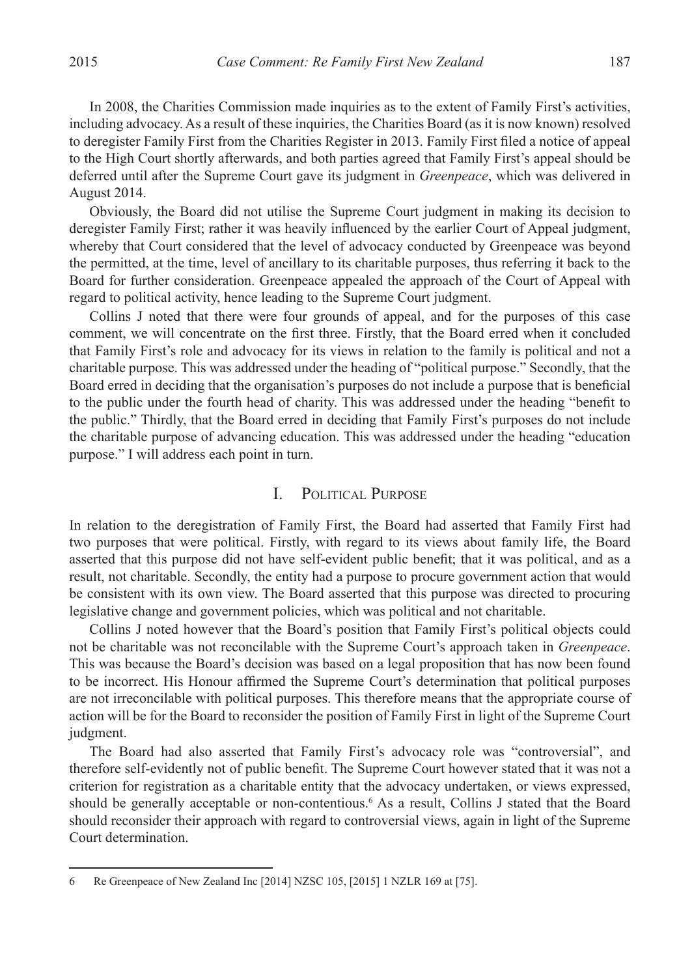In 2008, the Charities Commission made inquiries as to the extent of Family First's activities, including advocacy. As a result of these inquiries, the Charities Board (as it is now known) resolved to deregister Family First from the Charities Register in 2013. Family First filed a notice of appeal to the High Court shortly afterwards, and both parties agreed that Family First's appeal should be deferred until after the Supreme Court gave its judgment in *Greenpeace*, which was delivered in August 2014.

Obviously, the Board did not utilise the Supreme Court judgment in making its decision to deregister Family First; rather it was heavily influenced by the earlier Court of Appeal judgment, whereby that Court considered that the level of advocacy conducted by Greenpeace was beyond the permitted, at the time, level of ancillary to its charitable purposes, thus referring it back to the Board for further consideration. Greenpeace appealed the approach of the Court of Appeal with regard to political activity, hence leading to the Supreme Court judgment.

Collins J noted that there were four grounds of appeal, and for the purposes of this case comment, we will concentrate on the first three. Firstly, that the Board erred when it concluded that Family First's role and advocacy for its views in relation to the family is political and not a charitable purpose. This was addressed under the heading of "political purpose." Secondly, that the Board erred in deciding that the organisation's purposes do not include a purpose that is beneficial to the public under the fourth head of charity. This was addressed under the heading "benefit to the public." Thirdly, that the Board erred in deciding that Family First's purposes do not include the charitable purpose of advancing education. This was addressed under the heading "education purpose." I will address each point in turn.

#### I. Political Purpose

In relation to the deregistration of Family First, the Board had asserted that Family First had two purposes that were political. Firstly, with regard to its views about family life, the Board asserted that this purpose did not have self-evident public benefit; that it was political, and as a result, not charitable. Secondly, the entity had a purpose to procure government action that would be consistent with its own view. The Board asserted that this purpose was directed to procuring legislative change and government policies, which was political and not charitable.

Collins J noted however that the Board's position that Family First's political objects could not be charitable was not reconcilable with the Supreme Court's approach taken in *Greenpeace*. This was because the Board's decision was based on a legal proposition that has now been found to be incorrect. His Honour affirmed the Supreme Court's determination that political purposes are not irreconcilable with political purposes. This therefore means that the appropriate course of action will be for the Board to reconsider the position of Family First in light of the Supreme Court judgment.

The Board had also asserted that Family First's advocacy role was "controversial", and therefore self-evidently not of public benefit. The Supreme Court however stated that it was not a criterion for registration as a charitable entity that the advocacy undertaken, or views expressed, should be generally acceptable or non-contentious.<sup>6</sup> As a result, Collins J stated that the Board should reconsider their approach with regard to controversial views, again in light of the Supreme Court determination.

<sup>6</sup> Re Greenpeace of New Zealand Inc [2014] NZSC 105, [2015] 1 NZLR 169 at [75].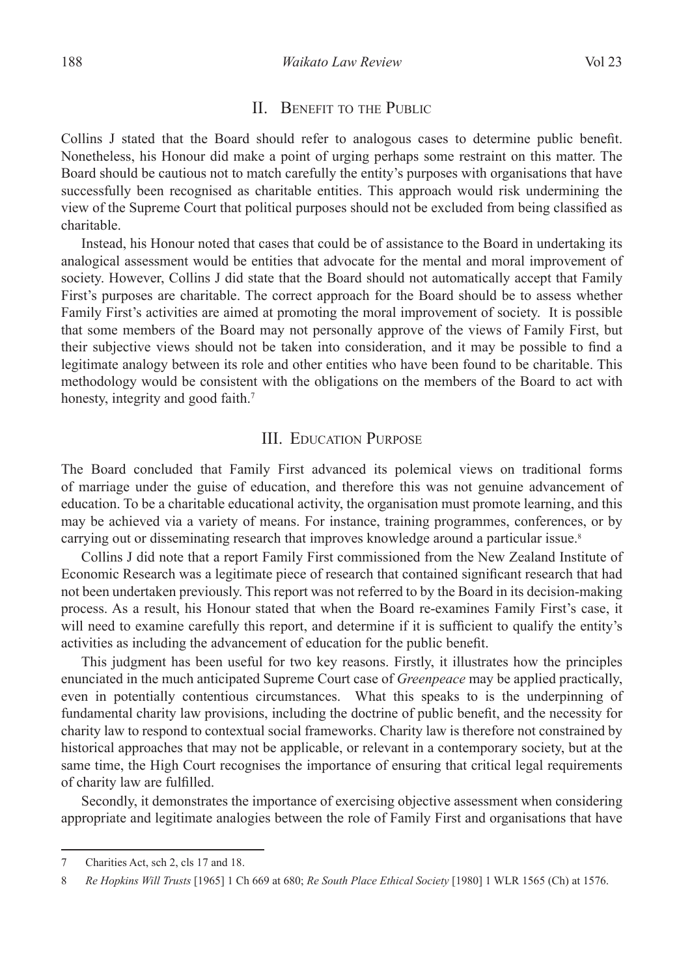#### II. BENEFIT TO THE PUBLIC

Collins J stated that the Board should refer to analogous cases to determine public benefit. Nonetheless, his Honour did make a point of urging perhaps some restraint on this matter. The Board should be cautious not to match carefully the entity's purposes with organisations that have successfully been recognised as charitable entities. This approach would risk undermining the view of the Supreme Court that political purposes should not be excluded from being classified as charitable.

Instead, his Honour noted that cases that could be of assistance to the Board in undertaking its analogical assessment would be entities that advocate for the mental and moral improvement of society. However, Collins J did state that the Board should not automatically accept that Family First's purposes are charitable. The correct approach for the Board should be to assess whether Family First's activities are aimed at promoting the moral improvement of society. It is possible that some members of the Board may not personally approve of the views of Family First, but their subjective views should not be taken into consideration, and it may be possible to find a legitimate analogy between its role and other entities who have been found to be charitable. This methodology would be consistent with the obligations on the members of the Board to act with honesty, integrity and good faith.<sup>7</sup>

### III. Education Purpose

The Board concluded that Family First advanced its polemical views on traditional forms of marriage under the guise of education, and therefore this was not genuine advancement of education. To be a charitable educational activity, the organisation must promote learning, and this may be achieved via a variety of means. For instance, training programmes, conferences, or by carrying out or disseminating research that improves knowledge around a particular issue.<sup>8</sup>

Collins J did note that a report Family First commissioned from the New Zealand Institute of Economic Research was a legitimate piece of research that contained significant research that had not been undertaken previously. This report was not referred to by the Board in its decision-making process. As a result, his Honour stated that when the Board re-examines Family First's case, it will need to examine carefully this report, and determine if it is sufficient to qualify the entity's activities as including the advancement of education for the public benefit.

This judgment has been useful for two key reasons. Firstly, it illustrates how the principles enunciated in the much anticipated Supreme Court case of *Greenpeace* may be applied practically, even in potentially contentious circumstances. What this speaks to is the underpinning of fundamental charity law provisions, including the doctrine of public benefit, and the necessity for charity law to respond to contextual social frameworks. Charity law is therefore not constrained by historical approaches that may not be applicable, or relevant in a contemporary society, but at the same time, the High Court recognises the importance of ensuring that critical legal requirements of charity law are fulfilled.

Secondly, it demonstrates the importance of exercising objective assessment when considering appropriate and legitimate analogies between the role of Family First and organisations that have

<sup>7</sup> Charities Act, sch 2, cls 17 and 18.

<sup>8</sup> *Re Hopkins Will Trusts* [1965] 1 Ch 669 at 680; *Re South Place Ethical Society* [1980] 1 WLR 1565 (Ch) at 1576.